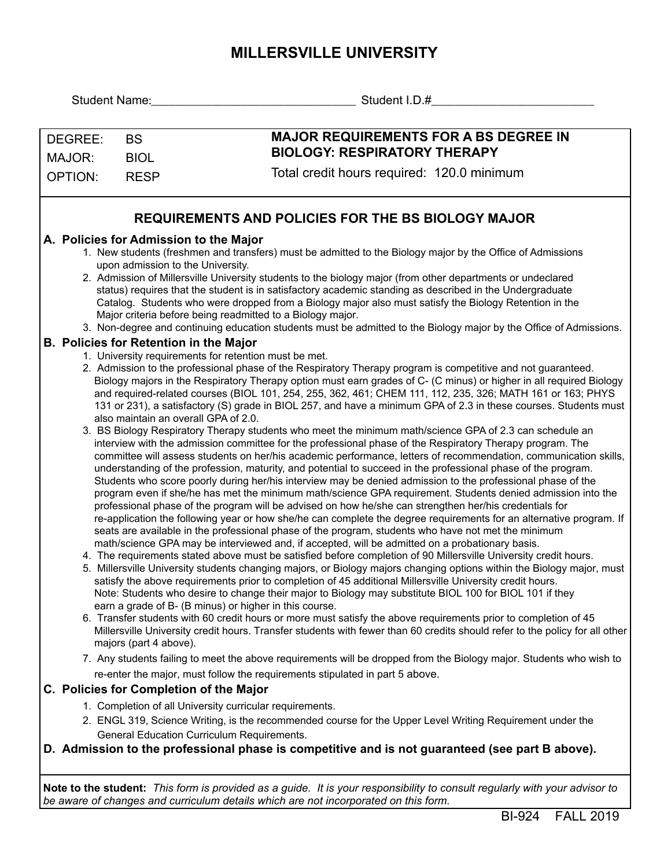## **MILLERSVILLE UNIVERSITY**

|                                               | Student I.D.#<br>Student Name: The Contract of the Contract of the Contract of the Contract of the Contract of the Contract of the Contract of the Contract of the Contract of the Contract of the Contract of the Contract of the Contract of                                                                                                                                                                                                                                                                                                                                                                                                                                                                                                                                                                                                                                                                                                                                                                                                                                                                                                                                                                                                                                                                     |
|-----------------------------------------------|--------------------------------------------------------------------------------------------------------------------------------------------------------------------------------------------------------------------------------------------------------------------------------------------------------------------------------------------------------------------------------------------------------------------------------------------------------------------------------------------------------------------------------------------------------------------------------------------------------------------------------------------------------------------------------------------------------------------------------------------------------------------------------------------------------------------------------------------------------------------------------------------------------------------------------------------------------------------------------------------------------------------------------------------------------------------------------------------------------------------------------------------------------------------------------------------------------------------------------------------------------------------------------------------------------------------|
| DEGREE:<br><b>BS</b><br>MAJOR:<br><b>BIOL</b> | <b>MAJOR REQUIREMENTS FOR A BS DEGREE IN</b><br><b>BIOLOGY: RESPIRATORY THERAPY</b>                                                                                                                                                                                                                                                                                                                                                                                                                                                                                                                                                                                                                                                                                                                                                                                                                                                                                                                                                                                                                                                                                                                                                                                                                                |
| <b>OPTION:</b>                                | Total credit hours required: 120.0 minimum<br><b>RESP</b>                                                                                                                                                                                                                                                                                                                                                                                                                                                                                                                                                                                                                                                                                                                                                                                                                                                                                                                                                                                                                                                                                                                                                                                                                                                          |
|                                               | <b>REQUIREMENTS AND POLICIES FOR THE BS BIOLOGY MAJOR</b>                                                                                                                                                                                                                                                                                                                                                                                                                                                                                                                                                                                                                                                                                                                                                                                                                                                                                                                                                                                                                                                                                                                                                                                                                                                          |
|                                               | A. Policies for Admission to the Major<br>1. New students (freshmen and transfers) must be admitted to the Biology major by the Office of Admissions<br>upon admission to the University.<br>2. Admission of Millersville University students to the biology major (from other departments or undeclared<br>status) requires that the student is in satisfactory academic standing as described in the Undergraduate<br>Catalog. Students who were dropped from a Biology major also must satisfy the Biology Retention in the<br>Major criteria before being readmitted to a Biology major.<br>3. Non-degree and continuing education students must be admitted to the Biology major by the Office of Admissions.                                                                                                                                                                                                                                                                                                                                                                                                                                                                                                                                                                                                 |
|                                               | <b>B. Policies for Retention in the Major</b><br>1. University requirements for retention must be met.<br>2. Admission to the professional phase of the Respiratory Therapy program is competitive and not guaranteed.<br>Biology majors in the Respiratory Therapy option must earn grades of C- (C minus) or higher in all required Biology<br>and required-related courses (BIOL 101, 254, 255, 362, 461; CHEM 111, 112, 235, 326; MATH 161 or 163; PHYS<br>131 or 231), a satisfactory (S) grade in BIOL 257, and have a minimum GPA of 2.3 in these courses. Students must<br>also maintain an overall GPA of 2.0.<br>3. BS Biology Respiratory Therapy students who meet the minimum math/science GPA of 2.3 can schedule an<br>interview with the admission committee for the professional phase of the Respiratory Therapy program. The<br>committee will assess students on her/his academic performance, letters of recommendation, communication skills,<br>understanding of the profession, maturity, and potential to succeed in the professional phase of the program.<br>Students who score poorly during her/his interview may be denied admission to the professional phase of the<br>program even if she/he has met the minimum math/science GPA requirement. Students denied admission into the |
|                                               | professional phase of the program will be advised on how he/she can strengthen her/his credentials for<br>re-application the following year or how she/he can complete the degree requirements for an alternative program. If<br>seats are available in the professional phase of the program, students who have not met the minimum<br>math/science GPA may be interviewed and, if accepted, will be admitted on a probationary basis.<br>4. The requirements stated above must be satisfied before completion of 90 Millersville University credit hours.<br>5. Millersville University students changing majors, or Biology majors changing options within the Biology major, must<br>satisfy the above requirements prior to completion of 45 additional Millersville University credit hours.<br>Note: Students who desire to change their major to Biology may substitute BIOL 100 for BIOL 101 if they<br>earn a grade of B- (B minus) or higher in this course.<br>6. Transfer students with 60 credit hours or more must satisfy the above requirements prior to completion of 45<br>Millersville University credit hours. Transfer students with fewer than 60 credits should refer to the policy for all other<br>majors (part 4 above).                                                                |
|                                               | 7. Any students failing to meet the above requirements will be dropped from the Biology major. Students who wish to<br>re-enter the major, must follow the requirements stipulated in part 5 above.                                                                                                                                                                                                                                                                                                                                                                                                                                                                                                                                                                                                                                                                                                                                                                                                                                                                                                                                                                                                                                                                                                                |
|                                               | C. Policies for Completion of the Major                                                                                                                                                                                                                                                                                                                                                                                                                                                                                                                                                                                                                                                                                                                                                                                                                                                                                                                                                                                                                                                                                                                                                                                                                                                                            |
|                                               | 1. Completion of all University curricular requirements.<br>2. ENGL 319, Science Writing, is the recommended course for the Upper Level Writing Requirement under the<br>General Education Curriculum Requirements.<br>D. Admission to the professional phase is competitive and is not guaranteed (see part B above).                                                                                                                                                                                                                                                                                                                                                                                                                                                                                                                                                                                                                                                                                                                                                                                                                                                                                                                                                                                             |
|                                               | Note to the student: This form is provided as a guide. It is your responsibility to consult regularly with your advisor to<br>be aware of changes and curriculum details which are not incorporated on this form.                                                                                                                                                                                                                                                                                                                                                                                                                                                                                                                                                                                                                                                                                                                                                                                                                                                                                                                                                                                                                                                                                                  |